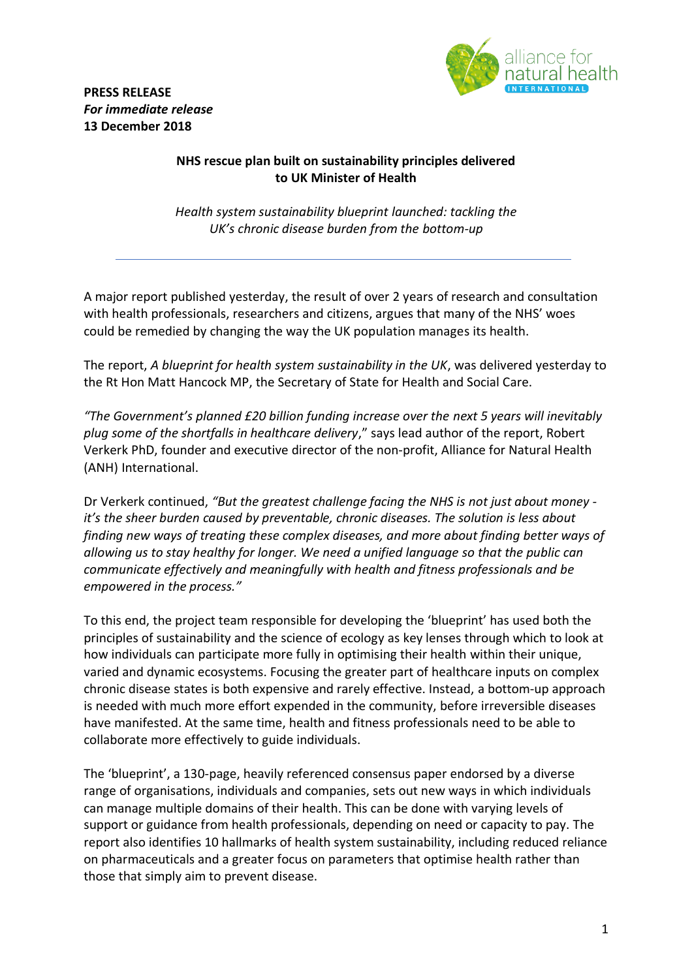



# **NHS rescue plan built on sustainability principles delivered to UK Minister of Health**

*Health system sustainability blueprint launched: tackling the UK's chronic disease burden from the bottom-up*

A major report published yesterday, the result of over 2 years of research and consultation with health professionals, researchers and citizens, argues that many of the NHS' woes could be remedied by changing the way the UK population manages its health.

The report, *A blueprint for health system sustainability in the UK*, was delivered yesterday to the Rt Hon Matt Hancock MP, the Secretary of State for Health and Social Care.

*"The Government's planned £20 billion funding increase over the next 5 years will inevitably plug some of the shortfalls in healthcare delivery*," says lead author of the report, Robert Verkerk PhD, founder and executive director of the non-profit, Alliance for Natural Health (ANH) International.

Dr Verkerk continued, *"But the greatest challenge facing the NHS is not just about money it's the sheer burden caused by preventable, chronic diseases. The solution is less about finding new ways of treating these complex diseases, and more about finding better ways of allowing us to stay healthy for longer. We need a unified language so that the public can communicate effectively and meaningfully with health and fitness professionals and be empowered in the process."*

To this end, the project team responsible for developing the 'blueprint' has used both the principles of sustainability and the science of ecology as key lenses through which to look at how individuals can participate more fully in optimising their health within their unique, varied and dynamic ecosystems. Focusing the greater part of healthcare inputs on complex chronic disease states is both expensive and rarely effective. Instead, a bottom-up approach is needed with much more effort expended in the community, before irreversible diseases have manifested. At the same time, health and fitness professionals need to be able to collaborate more effectively to guide individuals.

The 'blueprint', a 130-page, heavily referenced consensus paper endorsed by a diverse range of organisations, individuals and companies, sets out new ways in which individuals can manage multiple domains of their health. This can be done with varying levels of support or guidance from health professionals, depending on need or capacity to pay. The report also identifies 10 hallmarks of health system sustainability, including reduced reliance on pharmaceuticals and a greater focus on parameters that optimise health rather than those that simply aim to prevent disease.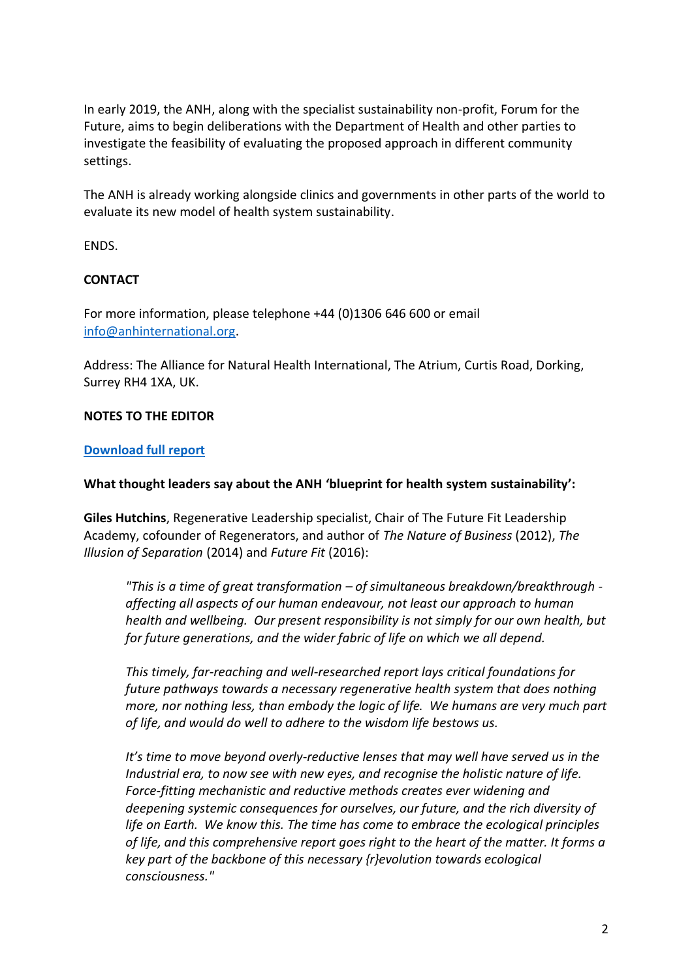In early 2019, the ANH, along with the specialist sustainability non-profit, Forum for the Future, aims to begin deliberations with the Department of Health and other parties to investigate the feasibility of evaluating the proposed approach in different community settings.

The ANH is already working alongside clinics and governments in other parts of the world to evaluate its new model of health system sustainability.

ENDS.

## **CONTACT**

For more information, please telephone +44 (0)1306 646 600 or email [info@anhinternational.org.](mailto:info@anhinternational.org)

Address: The Alliance for Natural Health International, The Atrium, Curtis Road, Dorking, Surrey RH4 1XA, UK.

## **NOTES TO THE EDITOR**

### **[Download full report](https://www.anhinternational.org/resources/documents/anh-intl-blueprint-for-health-system-sustainability/)**

#### **What thought leaders say about the ANH 'blueprint for health system sustainability':**

**Giles Hutchins**, Regenerative Leadership specialist, Chair of The Future Fit Leadership Academy, cofounder of Regenerators, and author of *The Nature of Business* (2012), *The Illusion of Separation* (2014) and *Future Fit* (2016):

*"This is a time of great transformation – of simultaneous breakdown/breakthrough affecting all aspects of our human endeavour, not least our approach to human health and wellbeing. Our present responsibility is not simply for our own health, but for future generations, and the wider fabric of life on which we all depend.*

*This timely, far-reaching and well-researched report lays critical foundations for future pathways towards a necessary regenerative health system that does nothing more, nor nothing less, than embody the logic of life. We humans are very much part of life, and would do well to adhere to the wisdom life bestows us.* 

*It's time to move beyond overly-reductive lenses that may well have served us in the Industrial era, to now see with new eyes, and recognise the holistic nature of life. Force-fitting mechanistic and reductive methods creates ever widening and deepening systemic consequences for ourselves, our future, and the rich diversity of life on Earth. We know this. The time has come to embrace the ecological principles of life, and this comprehensive report goes right to the heart of the matter. It forms a key part of the backbone of this necessary {r}evolution towards ecological consciousness."*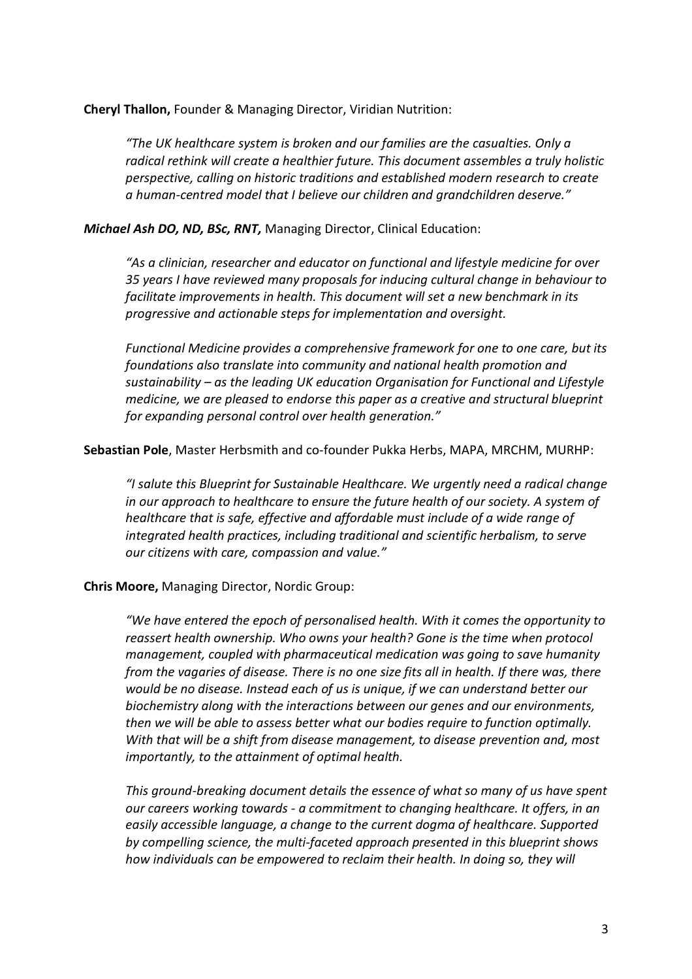**Cheryl Thallon,** Founder & Managing Director, Viridian Nutrition:

*"The UK healthcare system is broken and our families are the casualties. Only a radical rethink will create a healthier future. This document assembles a truly holistic perspective, calling on historic traditions and established modern research to create a human-centred model that I believe our children and grandchildren deserve."* 

### *Michael Ash DO, ND, BSc, RNT,* Managing Director, Clinical Education:

*"As a clinician, researcher and educator on functional and lifestyle medicine for over 35 years I have reviewed many proposals for inducing cultural change in behaviour to facilitate improvements in health. This document will set a new benchmark in its progressive and actionable steps for implementation and oversight.*

*Functional Medicine provides a comprehensive framework for one to one care, but its foundations also translate into community and national health promotion and sustainability – as the leading UK education Organisation for Functional and Lifestyle medicine, we are pleased to endorse this paper as a creative and structural blueprint for expanding personal control over health generation."*

**Sebastian Pole**, Master Herbsmith and co-founder Pukka Herbs, MAPA, MRCHM, MURHP:

*"I salute this Blueprint for Sustainable Healthcare. We urgently need a radical change in our approach to healthcare to ensure the future health of our society. A system of healthcare that is safe, effective and affordable must include of a wide range of integrated health practices, including traditional and scientific herbalism, to serve our citizens with care, compassion and value."*

## **Chris Moore,** Managing Director, Nordic Group:

*"We have entered the epoch of personalised health. With it comes the opportunity to reassert health ownership. Who owns your health? Gone is the time when protocol management, coupled with pharmaceutical medication was going to save humanity from the vagaries of disease. There is no one size fits all in health. If there was, there would be no disease. Instead each of us is unique, if we can understand better our biochemistry along with the interactions between our genes and our environments, then we will be able to assess better what our bodies require to function optimally. With that will be a shift from disease management, to disease prevention and, most importantly, to the attainment of optimal health.* 

*This ground-breaking document details the essence of what so many of us have spent our careers working towards - a commitment to changing healthcare. It offers, in an easily accessible language, a change to the current dogma of healthcare. Supported by compelling science, the multi-faceted approach presented in this blueprint shows how individuals can be empowered to reclaim their health. In doing so, they will*